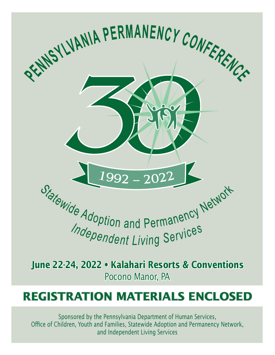

**June 22-24, 2022 • Kalahari Resorts & Conventions** Pocono Manor, PA

# **REGISTRATION MATERIALS ENCLOSED**

Sponsored by the Pennsylvania Department of Human Services, Office of Children, Youth and Families, Statewide Adoption and Permanency Network, and Independent Living Services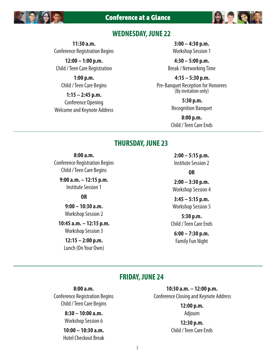



### **WEDNESDAY, JUNE 22**

**11:30 a.m.** Conference Registration Begins

**12:00 – 1:00 p.m.** Child / Teen Care Registration

**1:00 p.m.** Child / Teen Care Begins

**1:15 – 2:45 p.m.** Conference Opening Welcome and Keynote Address

**3:00 – 4:30 p.m.** Workshop Session 1

**4:30 – 5:00 p.m.** Break / Networking Time

 **4:15 – 5:30 p.m.** Pre-Banquet Reception for Honorees (By invitation only)

> **5:30 p.m.** Recognition Banquet

**8:00 p.m.** Child / Teen Care Ends

# **THURSDAY, JUNE 23**

**8:00 a.m.** Conference Registration Begins Child / Teen Care Begins

**9:00 a.m. – 12:15 p.m.** Institute Session 1

#### **OR**

**9:00 – 10:30 a.m.** Workshop Session 2

**10:45 a.m. – 12:15 p.m.** Workshop Session 3

> **12:15 – 2:00 p.m.** Lunch (On Your Own)

**2:00 – 5:15 p.m.** Institute Session 2

**OR**

**2:00 – 3:30 p.m.** Workshop Session 4

**3:45 – 5:15 p.m.** Workshop Session 5

**5:30 p.m.** Child / Teen Care Ends

**6:00 – 7:30 p.m.** Family Fun Night

# **FRIDAY, JUNE 24**

**8:00 a.m.** Conference Registration Begins Child / Teen Care Begins

# **8:30 – 10:00 a.m.**

Workshop Session 6

**10:00 – 10:30 a.m.** Hotel Checkout Break

**10:30 a.m. – 12:00 p.m.** Conference Closing and Keynote Address

> **12:00 p.m.** Adjourn

**12:30 p.m.** Child / Teen Care Ends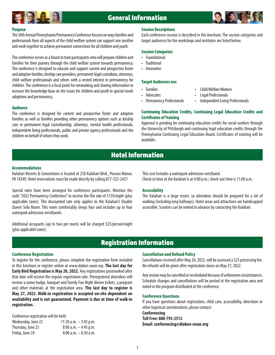

#### **Purpose**

The 30th Annual Pennsylvania Permanency Conference focuses on ways families and professionals from all aspects of the child welfare system can support one another and work together to achieve permanent connections for all children and youth.

The conference serves as a forum to train participants who will prepare children and families for their journey through the child welfare system towards permanency. The conference is designed to educate and support current and prospective foster and adoptive families, kinship care providers, permanent legal custodians, attorneys, child welfare professionals and others with a vested interest in permanency for children. The conference is a focal point for networking and sharing information to increase the knowledge base on the issues for children and youth in special needs adoptions and permanency.

#### **Audience**

The conference is designed for current and prospective foster and adoptive families as well as families providing other permanency options such as kinship care or permanent legal custodianship, attorneys, mental health professionals, independent living professionals, public and private agency professionals and the children on behalf of whom they work.

#### **Session Descriptions**

Each conference session is described in this brochure. The session categories and target audiences for the workshops and institutes are listed below.

#### **Session Categories:**

- Foundational
- Traditional
- Innovative

#### **Target Audiences are:**

- 
- 
- Families Child Welfare Workers
	-
- Advocates Legal Professionals
- Permanency Professionals Independent Living Professionals

#### **Continuing Education Credits, Continuing Legal Education Credits and Certificates of Training**

Approval is pending for continuing education credits for social workers through the University of Pittsburgh and continuing legal education credits through the Pennsylvania Continuing Legal Education Board. Certificates of training will be available.

# **Hotel Information**

#### **Accommodations**

Kalahari Resorts & Conventions is located at 250 Kalahari Blvd., Pocono Manor, PA 18349. Hotel reservations must be made directly by calling 877-525-2427.

Special rates have been arranged for conference participants. Mention the code "2022 Permanency Conference" to receive the flat rate of \$159/night (plus applicable taxes). This discounted rate only applies to the Kalahari's Double Queen Sofa Room. This room comfortably sleeps four and includes up to four waterpark admission wristbands.

Additional occupants (up to two per room) will be charged \$25/person/night (plus applicable taxes).

This cost includes a waterpark admission wristband. Check-in time at the Kalahari is at 4:00 p.m.; check-out time is 11:00 a.m.

#### **Accessibility**

The Kalahari is a large resort, so attendees should be prepared for a lot of walking (including long hallways). Hotel areas and attractions are handicapped accessible. Scooters can be rented in advance by contacting the Kalahari.

# **Registration Information**

#### **Conference Registration**

To register for the conference, please complete the registration form included in this brochure or register online at *www.diakon-swan.org*. **The last day for Early Bird Registration is May 20, 2022.** Any registrations postmarked after that date will receive the regular registration rate. Preregistered attendees will receive a name badge, banquet and Family Fun Night dinner tickets, a program and other materials at the registration area. **The last day to register is May 27, 2022. Walk-in registration is accepted on-site dependent on availability and is not guaranteed. Payment is due at time of walk-in registration.**

Conference registration will be held:

| Wednesday, June 22 | 11:30 a.m. $-$ 3:45 p.m. |
|--------------------|--------------------------|
| Thursday, June 23  | $8:00$ a.m. $-4:45$ p.m. |
| Friday, June 24    | $8:00$ a.m. $-8:30$ a.m. |

#### **Cancellation and Refund Policy**

Cancellations received after May 20, 2022, will be assessed a \$25 processing fee. No refunds will be given after registration closes on May 27, 2022.

Any session may be cancelled or rescheduled because of unforeseen circumstances. Schedule changes and cancellations will be posted at the registration area and noted in the program distributed at the conference.

#### **Conference Questions**

If you have questions about registration, child care, accessibility, directions or other logistical considerations, please contact:

**Conferencing Toll Free: 888-793-2512 Email: conferencing@diakon-swan.org**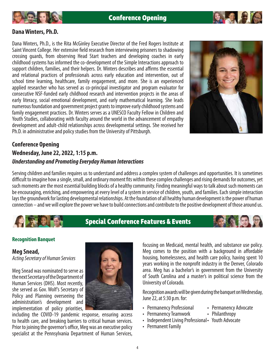



### **Dana Winters, Ph.D.**

Dana Winters, Ph.D., is the Rita McGinley Executive Director of the Fred Rogers Institute at Saint Vincent College. Her extensive field research from interviewing prisoners to shadowing crossing guards, from observing Head Start teachers and developing coaches in early childhood systems has informed the co-development of the Simple Interactions approach to support children, families, and their helpers. Dr. Winters describes and affirms the essential and relational practices of professionals across early education and intervention, out of school time learning, healthcare, family engagement, and more. She is an experienced applied researcher who has served as co-principal investigator and program evaluator for consecutive NSF-funded early childhood research and intervention projects in the areas of early literacy, social emotional development, and early mathematical learning. She leads numerous foundation and government project grants to improve early childhood systems and family engagement practices. Dr. Winters serves as a UNESCO Faculty Fellow in Children and Youth Studies, collaborating with faculty around the world in the advancement of empathy development and adult-child relationships across developmental settings. She received her Ph.D. in administrative and policy studies from the University of Pittsburgh.



# **Conference Opening Wednesday, June 22, 2022, 1:15 p.m.** *Understanding and Promoting Everyday Human Interactions*

Serving children and families requires us to understand and address a complex system of challenges and opportunities. It is sometimes difficult to imagine how a single, small, and ordinary moment fits within these complex challenges and rising demands for outcomes, yet such moments are the most essential building blocks of a healthy community. Finding meaningful ways to talk about such moments can be encouraging, enriching, and empowering at every level of a system in service of children, youth, and families. Each simple interaction lays the groundwork for lasting developmental relationships. At the foundation of all healthy human development is the power of human connection – and we will explore the power we have to build connections and contribute to the positive development of those around us.



# **Special Conference Features & Events**



#### **Recognition Banquet**

# **Meg Snead,**

*Acting Secretary of Human Services*

Meg Snead was nominated to serve as the next Secretary of the Department of Human Services (DHS). Most recently, she served as Gov. Wolf's Secretary of Policy and Planning overseeing the administration's development and implementation of policy priorities,



including the COVID-19 pandemic response, ensuring access to health care, and breaking barriers to critical human services. Prior to joining the governor's office, Meg was an executive policy specialist at the Pennsylvania Department of Human Services,

focusing on Medicaid, mental health, and substance use policy. Meg comes to the position with a background in affordable housing, homelessness, and health care policy, having spent 10 years working in the nonprofit industry in the Denver, Colorado area. Meg has a bachelor's in government from the University of South Carolina and a master's in political science from the University of Colorado.

Recognition awards will be given during the banquet on Wednesday, June 22, at 5:30 p.m. for:

- Permanency Professional Permanency Advocate
- Permanency Teamwork Philanthropy
	-
- Independent Living Professional Youth Advocate
- Permanent Family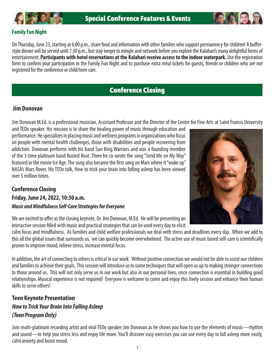



### **Family Fun Night**

On Thursday, June 23, starting at 6:00 p.m., share food and information with other families who support permanency for children! A buffetstyle dinner will be served until 7:30 p.m., but stay longer to mingle and network before you explore the Kalahari's many delightful forms of entertainment. **Participants with hotel reservations at the Kalahari receive access to the indoor waterpark.** Use the registration form to confirm your participation in the Family Fun Night and to purchase extra meal tickets for guests, friends or children who are not registered for the conference or child/teen care.

# **Conference Closing**

### **Jim Donovan**

Jim Donovan M.Ed. is a professional musician, Assistant Professor and the Director of the Center for Fine Arts at Saint Francis University

and TEDx speaker. His mission is to share the healing power of music through education and performance. He specializes in placing music and wellness programs in organizations who focus on people with mental health challenges, those with disabilities and people recovering from addiction. Donovan performs with his band Sun King Warriors and was a founding member of the 3-time platinum band Rusted Root. There he co-wrote the song "Send Me on My Way" featured in the movie Ice Age. The song also became the first song on Mars where it "woke up" NASA's Mars Rover. His TEDx talk, How to trick your brain into falling asleep has been viewed over 5 million times.

### **Conference Closing**

# **Friday, June 24, 2022, 10:30 a.m.** *Music and Mindfulness Self-Care Strategies for Everyone*



We are excited to offer as the closing keynote, Dr. Jim Donovan, M.Ed. He will be presenting an interactive session filled with music and practical strategies that can be used every day to elicit

calm focus and mindfulness. As families and child welfare professionals we deal with stress and deadlines every day. When we add to this all the global issues that surrounds us, we can quickly become overwhelmed. The active use of music based self-care is scientifically proven to improve mood, relieve stress, increase mental focus.

In addition, the art of connecting to others is critical in our work. Without positive connection we would not be able to assist our children and families to achieve their goals. This session will introduce us to some techniques that will open us up to making stronger connections to those around us. This will not only serve us in our work but also in our personal lives, since connection is essential in building good relationships. Musical experience is not required! Everyone is welcome to come and enjoy this lively session and enhance their human skills to serve others!

# **Teen Keynote Presentation** *How to Trick Your Brain Into Falling Asleep (Teen Program Only)*

Join multi-platinum recording artist and viral TEDx speaker Jim Donovan as he shows you how to use the elements of music—rhythm and sound—to help you stress less and enjoy life more. You'll discover easy exercises you can use every day to fall asleep more easily, calm anxiety and boost mood.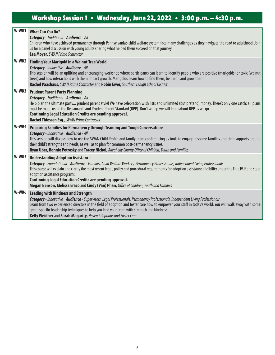|       | <b>W-WK1</b> What Can You Do?<br><b>Category</b> - Traditional Audience - All<br>Children who have achieved permanency through Pennsylvania's child welfare system face many challenges as they navigate the road to adulthood. Join<br>us for a panel discussion with young adults sharing what helped them succeed on that journey.<br>Lea Moyer, SWAN Prime Contractor                                                                                                                                                                       |
|-------|-------------------------------------------------------------------------------------------------------------------------------------------------------------------------------------------------------------------------------------------------------------------------------------------------------------------------------------------------------------------------------------------------------------------------------------------------------------------------------------------------------------------------------------------------|
| W-WK2 | <b>Finding Your Marigold in a Walnut Tree World</b><br>Category - Innovative Audience - All<br>This session will be an uplifting and encouraging workshop where participants can learn to identify people who are positive (marigolds) or toxic (walnut<br>trees) and how interactions with them impact growth. Marigolds: learn how to find them, be them, and grow them!<br>Rachel Paashaus, SWAN Prime Contractor and Robin Ewer, Southern Lehigh School District                                                                            |
| W-WK3 | <b>Prudent Parent Party Planning</b><br><b>Category</b> - Traditional <b>Audience</b> - All<br>Help plan the ultimate party prudent parent style! We have celebration wish lists and unlimited (but pretend) money. There's only one catch: all plans<br>must be made using the Reasonable and Prudent Parent Standard (RPP). Don't worry, we will learn about RPP as we go.<br><b>Continuing Legal Education Credits are pending approval.</b><br>Rachel Thiessen Esq., SWAN Prime Contractor                                                  |
| W-WK4 | Preparing Families for Permanency through Teaming and Tough Conversations<br><b>Category</b> - Innovative <b>Audience</b> - All<br>This session will discuss how to use the SWAN Child Profile and family team conferencing as tools to engage resource families and their supports around<br>their child's strengths and needs, as well as to plan for common post-permanency issues.<br>Ryan Uber, Bonnie Petrosky and Tracey Nichol, Allegheny County Office of Children, Youth and Families                                                 |
| W-WK5 | <b>Understanding Adoption Assistance</b><br>Category - Foundational Audience - Families, Child Welfare Workers, Permanency Professionals, Independent Living Professionals<br>This course will explain and clarify the most recent legal, policy and procedural requirements for adoption assistance eligibility under the Title IV-E and state<br>adoption assistance programs.<br><b>Continuing Legal Education Credits are pending approval.</b><br>Megan Benson, Melissa Erazo and Cindy (Van) Phan, Office of Children, Youth and Families |
| W-WK6 | <b>Leading with Kindness and Strength</b><br>Category - Innovative Audience - Supervisors, Legal Professionals, Permanency Professionals, Independent Living Professionals<br>Learn from two experienced directors in the field of adoption and foster care how to empower your staff in today's world. You will walk away with some<br>great, specific leadership techniques to help you lead your team with strength and kindness.<br>Kelly Weidner and Sarah Magarity, Haven Adoptions and Foster Care                                       |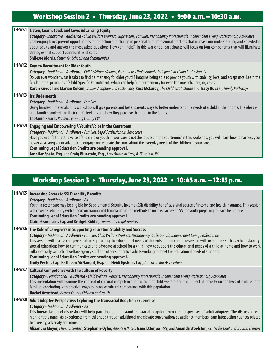# **Workshop Session 2 • Thursday, June 23, 2022 • 9:00 a.m. – 10:30 a.m.**

| TH-WK1 | Listen, Learn, Lead, and Love: Advancing Equity<br>Category - Innovative Audience - Child Welfare Workers, Supervisors, Families, Permanency Professionals, Independent Living Professionals, Advocates<br>Challenging times present opportunities for reflection and change in personal and professional practices that increase our understanding and knowledge<br>about equity and answer the most asked question: "How can I help?" In this workshop, participants will focus on four components that will illuminate<br>strategies that support communities of color.<br><b>Shileste Morris, Center for Schools and Communities</b> |
|--------|------------------------------------------------------------------------------------------------------------------------------------------------------------------------------------------------------------------------------------------------------------------------------------------------------------------------------------------------------------------------------------------------------------------------------------------------------------------------------------------------------------------------------------------------------------------------------------------------------------------------------------------|
| TH-WK2 | <b>Keys to Recruitment for Older Youth</b><br>Category - Traditional Audience - Child Welfare Workers, Permanency Professionals, Independent Living Professionals<br>Do you ever wonder what it takes to find permanency for older youth? Imagine being able to provide youth with stability, love, and acceptance. Learn the<br>fundamental principles of Child-Specific Recruitment, which can help find permanency for even the most challenging cases.<br>Karen Knodel and Marian Kolcun, Diakon Adoption and Foster Care, Russ McCurdy, The Children's Institute and Tracy Buyaki, Family Pathways                                  |
| TH-WK3 | It's Underneath<br><b>Category</b> - Traditional <b>Audience</b> - Families<br>Using hands-on materials, this workshop will give parents and foster parents ways to better understand the needs of a child in their home. The ideas will<br>help families understand their child's feelings and how they perceive their role in the family.<br>LeeAnne Rauch, Retired, Lycoming County CYS                                                                                                                                                                                                                                               |
| TH-WK4 | <b>Engaging and Empowering A Youth's Voice in the Courtroom</b><br><b>Category</b> - Traditional Audience - Families, Legal Professionals, Advocates<br>Have you ever felt that the voice of the child or youth in your care is not the loudest in the courtroom? In this workshop, you will learn how to harness your<br>power as a caregiver or advocate to engage and educate the court about the everyday needs of the children in your care.<br><b>Continuing Legal Education Credits are pending approval.</b><br>Jennifer Spata, Esq. and Craig Bluestein, Esq., Law Offices of Craig B. Bluestein, P.C.                          |

# **Workshop Session 3 • Thursday, June 23, 2022 • 10:45 a.m. – 12:15 p.m.**

|        | TH-WK5 | <b>Increasing Access to SSI Disability Benefits</b><br><b>Category</b> - Traditional <b>Audience</b> - All<br>Youth in foster care may be eligible for Supplemental Security Income (SSI) disability benefits, a vital source of income and health insurance. This session<br>will cover SSI eligibility with a focus on trauma and trauma-informed methods to increase access to SSI for youth preparing to leave foster care.<br><b>Continuing Legal Education Credits are pending approval.</b><br>Claire Grandison, Esq. and Bridget Biddle, Community Legal Services                                                                                                                                                                                                                                                             |
|--------|--------|---------------------------------------------------------------------------------------------------------------------------------------------------------------------------------------------------------------------------------------------------------------------------------------------------------------------------------------------------------------------------------------------------------------------------------------------------------------------------------------------------------------------------------------------------------------------------------------------------------------------------------------------------------------------------------------------------------------------------------------------------------------------------------------------------------------------------------------|
| TH-WK6 |        | The Role of Caregivers in Supporting Education Stability and Success<br>Category - Traditional Audience - Families, Child Welfare Workers, Permanency Professionals, Independent Living Professionals<br>This session will discuss caregivers' role in supporting the educational needs of students in their care. The session will cover topics such as school stability;<br>special education; how to communicate and advocate at school for a child; how to support the educational needs of a child at home and how to work<br>collaboratively with child welfare agency staff and other supportive adults working to meet the educational needs of students.<br><b>Continuing Legal Education Credits are pending approval.</b><br>Emily Peeler, Esq., Kathleen McNaught, Esq. and Heidi Epstein, Esq., American Bar Association |
|        | TH-WK7 | <b>Cultural Competence with the Culture of Poverty</b><br>Category - Foundational Audience - Child Welfare Workers, Permanency Professionals, Independent Living Professionals, Advocates<br>This presentation will examine the concept of cultural competence in the field of child welfare and the impact of poverty on the lives of children and<br>families, concluding with practical ways to increase cultural competence with this population.<br>Rachel Armstead, Beaver County Children and Youth                                                                                                                                                                                                                                                                                                                            |
|        | TH-WK8 | Adult Adoptee Perspective: Exploring the Transracial Adoption Experience<br><b>Category</b> - Traditional <b>Audience</b> - All<br>This interactive panel discussion will help participants understand transracial adoption from the perspectives of adult adoptees. The discussion will<br>highlight the panelists' experiences from childhood through adulthood and elevate conversations so audience members learn intersecting nuances related<br>to diversity, adversity and more.<br>Alixandra Moyer, Phoenix Contact, Stephanie Oyler, AdopteeLIT, LLC, Isaac Etter, Identity, and Amanda Woolston, Center for Grief and Trauma Therapy                                                                                                                                                                                        |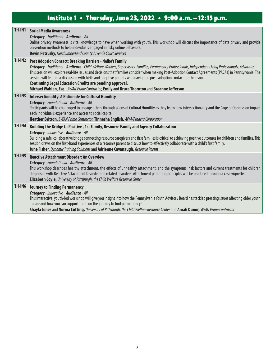# **Institute 1 • Thursday, June 23, 2022 • 9:00 a.m. – 12:15 p.m.**

| TH-IN1 | <b>Social Media Awareness</b><br><b>Category</b> - Traditional <b>Audience</b> - All<br>Online privacy awareness is vital knowledge to have when working with youth. This workshop will discuss the importance of data privacy and provide<br>prevention methods to help individuals engaged in risky online behaviors.<br><b>Devin Petrusky, Northumberland County Juvenile Court Services</b>                                                                                                                                                                                                                                                                                  |
|--------|----------------------------------------------------------------------------------------------------------------------------------------------------------------------------------------------------------------------------------------------------------------------------------------------------------------------------------------------------------------------------------------------------------------------------------------------------------------------------------------------------------------------------------------------------------------------------------------------------------------------------------------------------------------------------------|
| TH-IN2 | <b>Post Adoption Contact: Breaking Barriers - Neiko's Family</b><br>Category - Traditional Audience - Child Welfare Workers, Supervisors, Families, Permanency Professionals, Independent Living Professionals, Advocates<br>This session will explore real-life issues and decisions that families consider when making Post-Adoption Contact Agreements (PACAs) in Pennsylvania. The<br>session will feature a discussion with birth and adoptive parents who navigated post-adoption contact for their son.<br><b>Continuing Legal Education Credits are pending approval.</b><br>Michael Wahlen, Esq., SWAN Prime Contractor, Emily and Bruce Thornton and Breanne Jefferson |
| TH-IN3 | <b>Intersectionality: A Rationale for Cultural Humility</b><br>Category - Foundational Audience - All<br>Participants will be challenged to engage others through a lens of Cultural Humility as they learn how intersectionality and the Cage of Oppression impact<br>each individual's experience and access to social capital.<br>Heather Britton, SWAN Prime Contractor, Tinnesha English, APM/Pradera Corporation                                                                                                                                                                                                                                                           |
| TH-IN4 | Building the Bridge to Positive, 1st Family, Resource Family and Agency Collaboration<br>Category - Innovative Audience - All<br>Building a safe, collaborative bridge connecting resource caregivers and first families is critical to achieving positive outcomes for children and families. This<br>session draws on the first-hand experiences of a resource parent to discuss how to effectively collaborate with a child's first family.<br>June Fisher, Dynamic Training Solutions and Adrienne Cavanaugh, Resource Parent                                                                                                                                                |
| TH-IN5 | <b>Reactive Attachment Disorder: An Overview</b><br><b>Category</b> - Foundational <b>Audience</b> - All<br>This workshop describes healthy attachment, the effects of unhealthy attachment, and the symptoms, risk factors and current treatments for children<br>diagnosed with Reactive Attachment Disorder and related disorders. Attachment parenting principles will be practiced through a case vignette.<br>Elizabeth Coyle, University of Pittsburgh, the Child Welfare Resource Center                                                                                                                                                                                 |
| TH-IN6 | <b>Journey to Finding Permanency</b><br>Category - Innovative Audience - All<br>This interactive, youth-led workshop will give you insight into how the Pennsylvania Youth Advisory Board has tackled pressing issues affecting older youth<br>in care and how you can support them on the journey to find permanency!<br>Shayla Jones and Norma Cutting, University of Pittsburgh, the Child Welfare Resource Center and Amah Dunor, SWAN Prime Contractor                                                                                                                                                                                                                      |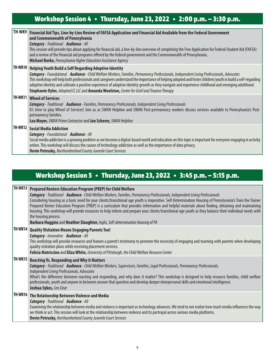# **Workshop Session 4 • Thursday, June 23, 2022 • 2:00 p.m. – 3:30 p.m.**

| TH-WK9  | Financial Aid Tips, Line-by-Line Review of FAFSA Application and Financial Aid Available from the Federal Government                                                                                                                                                                                                                                                                                                                                                                                                                                                                                                         |  |  |  |  |
|---------|------------------------------------------------------------------------------------------------------------------------------------------------------------------------------------------------------------------------------------------------------------------------------------------------------------------------------------------------------------------------------------------------------------------------------------------------------------------------------------------------------------------------------------------------------------------------------------------------------------------------------|--|--|--|--|
|         | and Commonwealth of Pennsylvania                                                                                                                                                                                                                                                                                                                                                                                                                                                                                                                                                                                             |  |  |  |  |
|         | Category - Traditional Audience - All<br>This session will provide tips about applying for financial aid, a line-by-line overview of completing the Free Application for Federal Student Aid (FAFSA)<br>and a review of the financial aid programs offered by the federal government and the Commonwealth of Pennsylvania.<br>Michael Burke, Pennsylvania Higher Education Assistance Agency                                                                                                                                                                                                                                 |  |  |  |  |
| TH-WK10 | <b>Helping Youth Build a Self Regarding Adoptive Identity</b><br>Category - Foundational Audience - Child Welfare Workers, Families, Permanency Professionals, Independent Living Professionals, Advocates<br>This workshop will help both professionals and caregivers understand the importance of helping adopted and foster children/youth in build a self-regarding<br>adoptive identity and cultivate a positive experience of adoptive identity growth as they navigate and experience childhood and emerging adulthood.<br>Stephanie Oyler, AdopteeLIT, LLC and Amanda Woolston, Center for Grief and Trauma Therapy |  |  |  |  |
| TH-WK11 | <b>Wheel of Services</b><br>Category - Traditional Audience - Families, Permanency Professionals, Independent Living Professionals<br>It's time to play Wheel of Services! Join us as SWAN Helpline and SWAN Post-permanency workers discuss services available to Pennsylvania's Post-<br>permanency families.<br>Lea Moyer, SWAN Prime Contractor and Jan Scherer, SWAN Helpline                                                                                                                                                                                                                                           |  |  |  |  |
| TH-WK12 | <b>Social Media Addiction</b><br><b>Category</b> - Foundational <b>Audience</b> - All<br>Social media addiction is a growing problem as we become a digital-based world and education on this topic is important for everyone engaging in activity<br>online. This workshop will discuss the causes of technology addiction as well as the importance of data privacy.<br>Dovin Detrucky Nexthumberland County Invenile Court Cornices                                                                                                                                                                                       |  |  |  |  |

**Devin Petrusky,** *Northumberland County Juvenile Court Services*

# **Workshop Session 5 • Thursday, June 23, 2022 • 3:45 p.m. – 5:15 p.m.**

| TH-WK13 | <b>Prepared Renters Education Program (PREP) for Child Welfare</b><br>Category - Traditional Audience - Child Welfare Workers, Families, Permanency Professionals, Independent Living Professionals<br>Considering housing as a basic need for your clients/transitional age youth is imperative. Self-Determination Housing of Pennslyvania's Train the Trainer<br>Prepared Renter Education Program (PREP) is a curriculum that provides information and helpful materials about finding, obtaining and maintaining<br>housing. This workshop will provide resources to help inform and prepare your clients/transitional age youth as they balance their individual needs with<br>the housing process.<br>Barbara Huggins and Heather Slaughter, Inglis, Self-determination Housing of PA |
|---------|----------------------------------------------------------------------------------------------------------------------------------------------------------------------------------------------------------------------------------------------------------------------------------------------------------------------------------------------------------------------------------------------------------------------------------------------------------------------------------------------------------------------------------------------------------------------------------------------------------------------------------------------------------------------------------------------------------------------------------------------------------------------------------------------|
| TH-WK14 | <b>Quality Visitation Means Engaging Parents Too!</b><br>Category - Innovative Audience - All<br>This workshop will provide resources and feature a parent's testimony to promote the necessity of engaging and teaming with parents when developing<br>quality visitation plans while receiving placement services.<br>Felicia Matriccino and Eliza White, University of Pittsburgh, the Child Welfare Resource Center                                                                                                                                                                                                                                                                                                                                                                      |
| TH-WK15 | <b>Reacting Vs. Responding and Why it Matters</b><br>Category - Traditional Audience - Child Welfare Workers, Supervisors, Families, Legal Professionals, Permanency Professionals,<br>Independent Living Professionals, Advocates<br>What's the difference between reacting and responding, and why does it matter? This workshop is designed to help resource families, child welfare<br>professionals, youth and anyone in between answer that question and develop deeper interpersonal skills and emotional intelligence.<br>Joshua Sykes, Cen Clear                                                                                                                                                                                                                                    |
| TH-WK16 | The Relationship Between Violence and Media<br>Category - Traditional Audience - All<br>Examining the relationship between media and violence is important as technology advances. We tend to not realize how much media influences the way<br>we think or act. This session will look at the relationship between violence and its portrayal across various media platforms.<br><b>Devin Petrusky, Northumberland County Juvenile Court Services</b>                                                                                                                                                                                                                                                                                                                                        |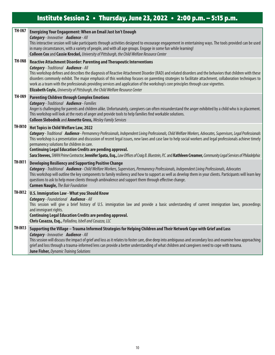# **Institute Session 2 • Thursday, June 23, 2022 • 2:00 p.m. – 5:15 p.m.**

| TH-IN7         | Energizing Your Engagement: When an Email Just Isn't Enough<br>Category - Innovative Audience - All<br>This interactive session will take participants through activities designed to encourage engagement in entertaining ways. The tools provided can be used<br>in many circumstances, with a variety of people, and with all age groups. Engage in some fun while learning!<br>Colleen Cox and Cassie Kreckel, University of Pittsburgh, the Child Welfare Resource Center                                                                                                                                                                                                 |
|----------------|--------------------------------------------------------------------------------------------------------------------------------------------------------------------------------------------------------------------------------------------------------------------------------------------------------------------------------------------------------------------------------------------------------------------------------------------------------------------------------------------------------------------------------------------------------------------------------------------------------------------------------------------------------------------------------|
| TH-IN8         | <b>Reactive Attachment Disorder: Parenting and Therapeutic Interventions</b><br><b>Category</b> - Traditional <b>Audience</b> - All<br>This workshop defines and describes the diagnosis of Reactive Attachment Disorder (RAD) and related disorders and the behaviors that children with these<br>disorders commonly exhibit. The major emphasis of this workshop focuses on parenting strategies to facilitate attachment, collaboration techniques to<br>work as a team with the professionals providing services and application of the workshop's core principles through case vignettes.<br>Elizabeth Coyle, University of Pittsburgh, the Child Welfare Resource Center |
| TH-IN9         | <b>Parenting Children through Complex Emotions</b><br><b>Category</b> - Traditional <b>Audience</b> - Families<br>Anger is challenging for parents and children alike. Unfortunately, caregivers can often misunderstand the anger exhibited by a child who is in placement.<br>This workshop will look at the roots of anger and provide tools to help families find workable solutions.<br><b>Colleen Slebodnik and Annette Gross, Wesley Family Services</b>                                                                                                                                                                                                                |
| <b>TH-IN10</b> | Hot Topics in Child Welfare Law, 2022<br>Category - Traditional Audience - Permanency Professionals, Independent Living Professionals, Child Welfare Workers, Advocates, Supervisors, Legal Professionals<br>This workshop is a presentation and discussion of recent legal issues, new laws and case law to help social workers and legal professionals achieve timely<br>permanency solutions for children in care.<br><b>Continuing Legal Education Credits are pending approval.</b><br>Sara Steeves, SWAN Prime Contractor, Jennifer Spata, Esq., Law Offices of Craig B. Bluestein, P.C. and Kathleen Creamer, Community Legal Services of Philadelphia                  |
| <b>TH-IN11</b> | <b>Developing Resiliency and Supporting Positive Change</b><br>Category - Traditional Audience - Child Welfare Workers, Supervisors, Permanency Professionals, Independent Living Professionals, Advocates<br>This workshop will outline the key components to family resiliency and how to support as well as develop them in your clients. Participants will learn key<br>questions to ask to help move clients through ambivalence and support them through effective change.<br><b>Carmen Naugle, The Bair Foundation</b>                                                                                                                                                  |
| <b>TH-IN12</b> | <b>U.S. Immigration Law - What you Should Know</b><br><b>Category</b> - Foundational Audience - All<br>This session will give a brief history of U.S. immigration law and provide a basic understanding of current immigration laws, proceedings<br>and immigrant rights.<br><b>Continuing Legal Education Credits are pending approval.</b><br>Chris Casazza, Esq., Palladino, Isbell and Casazza, LLC                                                                                                                                                                                                                                                                        |
| <b>TH-IN13</b> | Supporting the Village - Trauma Informed Strategies for Helping Children and Their Network Cope with Grief and Loss<br>Category - Innovative Audience - All<br>This session will discuss the impact of grief and loss as it relates to foster care, dive deep into ambiguous and secondary loss and examine how approaching<br>grief and loss through a trauma-informed lens can provide a better understanding of what children and caregivers need to cope with trauma.<br><b>June Fisher, Dynamic Training Solutions</b>                                                                                                                                                    |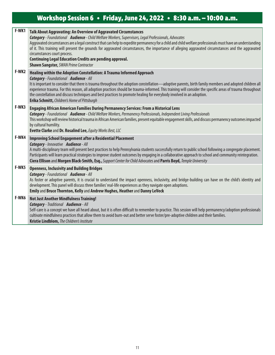# **Workshop Session 6 • Friday, June 24, 2022 • 8:30 a.m. – 10:00 a.m.**

| F-WK1 | Talk About Aggravating: An Overview of Aggravated Circumstances<br><b>Category</b> - Foundational Audience - Child Welfare Workers, Supervisors, Legal Professionals, Advocates<br>Aggravated circumstances are a legal construct that can help to expedite permanency for a child and child welfare professionals must have an understanding<br>of it. This training will present the grounds for aggravated circumstances, the importance of alleging aggravated circumstances and the aggravated<br>circumstances court process.<br><b>Continuing Legal Education Credits are pending approval.</b><br><b>Shawn Sangster, SWAN Prime Contractor</b> |
|-------|--------------------------------------------------------------------------------------------------------------------------------------------------------------------------------------------------------------------------------------------------------------------------------------------------------------------------------------------------------------------------------------------------------------------------------------------------------------------------------------------------------------------------------------------------------------------------------------------------------------------------------------------------------|
| F-WK2 | Healing within the Adoption Constellation: A Trauma Informed Approach<br><b>Category</b> - Foundational <b>Audience</b> - All<br>It is important to consider that there is trauma throughout the adoption constellation—adoptive parents, birth family members and adopted children all<br>experience trauma. For this reason, all adoption practices should be trauma-informed. This training will consider the specific areas of trauma throughout<br>the constellation and discuss techniques and best practices to promote healing for everybody involved in an adoption.<br>Erika Schmitt, Children's Home of Pittsburgh                          |
| F-WK3 | Engaging African American Families During Permanency Services: From a Historical Lens<br>Category - Foundational Audience - Child Welfare Workers, Permanency Professionals, Independent Living Professionals<br>This workshop will review historical trauma in African American families, present equitable engagement skills, and discuss permanency outcomes impacted<br>by cultural humility.<br>Evette Clarke and Dr. Rosalind Lee, Equity Works Best, LLC                                                                                                                                                                                        |
| F-WK4 | <b>Improving School Engagement after a Residential Placement</b><br>Category - Innovative Audience - All<br>A multi-disciplinary team will present best practices to help Pennsylvania students successfully return to public school following a congregate placement.<br>Participants will learn practical strategies to improve student outcomes by engaging in a collaborative approach to school and community reintegration.<br>Ciera Ellison and Morgen Black-Smith, Esq., Support Center for Child Advocates and Parris Boyd, Temple University                                                                                                 |
| F-WK5 | <b>Openness, Inclusivity and Building Bridges</b><br><b>Category</b> - Foundational <b>Audience</b> - All<br>As foster or adoptive parents, it is crucial to understand the impact openness, inclusivity, and bridge-building can have on the child's identity and<br>development. This panel will discuss three families' real-life experiences as they navigate open adoptions.<br>Emily and Bruce Thornton, Kelly and Andrew Hughes, Heather and Danny LeVeck                                                                                                                                                                                       |
| F-WK6 | <b>Not Just Another Mindfulness Training!</b><br><b>Category</b> - Traditional <b>Audience</b> - All<br>Self-care is a concept we have all heard about, but it is often difficult to remember to practice. This session will help permanency/adoption professionals<br>cultivate mindfulness practices that allow them to avoid burn-out and better serve foster/pre-adoptive children and their families.<br>Kristie Lindblom, The Children's Institute                                                                                                                                                                                               |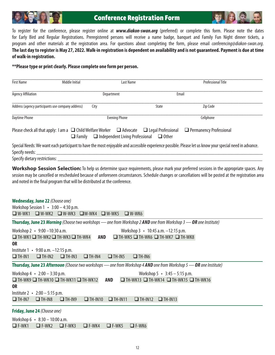### **Conference Registration Form**



To register for the conference, please register online at *www.diakon-swan.org* (preferred) or complete this form. Please note the dates for Early Bird and Regular Registrations. Preregistered persons will receive a name badge, banquet and Family Fun Night dinner tickets, a program and other materials at the registration area. For questions about completing the form, please email *conferencing@diakon-swan.org*. **The last day to register is May 27, 2022. Walk-in registration is dependent on availability and is not guaranteed. Payment is due at time of walk-in registration.**

#### **\*\*Please type or print clearly. Please complete one form per person.**

| <b>First Name</b>         | Middle Initial                                                                                           | Last Name                                           |                           | <b>Professional Title</b>                                                                                                                               |
|---------------------------|----------------------------------------------------------------------------------------------------------|-----------------------------------------------------|---------------------------|---------------------------------------------------------------------------------------------------------------------------------------------------------|
| <b>Agency Affiliation</b> |                                                                                                          | Department                                          | Email                     |                                                                                                                                                         |
|                           | Address (agency participants use company address)<br>City                                                |                                                     | <b>State</b>              | Zip Code                                                                                                                                                |
| <b>Daytime Phone</b>      |                                                                                                          | <b>Evening Phone</b>                                |                           | Cellphone                                                                                                                                               |
|                           | Please check all that apply: $\text{I am a } \Box$ Child Welfare Worker $\Box$ Advocate<br>$\Box$ Family | $\Box$ Independent Living Professional $\Box$ Other | $\Box$ Legal Professional | $\Box$ Permanency Professional                                                                                                                          |
| Specify needs:            |                                                                                                          |                                                     |                           | Special Needs: We want each participant to have the most enjoyable and accessible experience possible. Please let us know your special need in advance. |

Specify dietary restrictions: \_\_\_\_\_\_\_\_\_\_\_\_\_\_\_\_\_\_\_\_\_\_\_\_\_\_\_\_\_\_\_\_\_\_\_\_\_\_\_\_\_\_\_\_\_\_\_\_\_\_\_\_\_\_\_\_\_\_\_\_\_\_\_\_\_\_\_\_\_\_\_\_\_\_\_\_

Workshop Session Selection: To help us determine space requirements, please mark your preferred sessions in the appropriate spaces. Any session may be cancelled or rescheduled because of unforeseen circumstances. Schedule changes or cancellations will be posted at the registration area and noted in the final program that will be distributed at the conference.

| Wednesday, June 22 (Choose one)                                                                                                         |  |  |  |
|-----------------------------------------------------------------------------------------------------------------------------------------|--|--|--|
| Workshop Session $1 \cdot 3:00 - 4:30$ p.m.<br>$\Box$ W-WK2 $\Box$ W-WK3<br>$\Box$ W-WK1<br>$\Box W$ -WK4 $\Box W$ -WK5<br>$\Box$ W-WK6 |  |  |  |
| <b>Thursday, June 23 Morning</b> (Choose two workshops $-$ one from Workshop 2 AND one from Workshop 3 $-$ OR one Institute)            |  |  |  |
| Workshop $2 \cdot 9:00 - 10:30$ a.m.<br>Workshop $3 \cdot 10:45$ a.m. $-12:15$ p.m.                                                     |  |  |  |
| $\Box$ TH-WK5 $\Box$ TH-WK6 $\Box$ TH-WK7 $\Box$ TH-WK8<br>$\Box$ TH-WK1 $\Box$ TH-WK2 $\Box$ TH-WK3 $\Box$ TH-WK4<br><b>AND</b>        |  |  |  |
| <b>OR</b>                                                                                                                               |  |  |  |
| Institute $1 \cdot 9:00$ a.m. $-12:15$ p.m.                                                                                             |  |  |  |
| $\Box$ TH-IN5<br>$\Box$ TH-IN6<br>$\Box$ TH-IN2<br>$\Box$ TH-IN3<br>$\Box$ TH-IN4<br>$\Box$ TH-IN1                                      |  |  |  |
| <b>Thursday, June 23 Afternoon</b> (Choose two workshops — one from Workshop 4 AND one from Workshop 5 — OR one Institute)              |  |  |  |
| Workshop $4 \cdot 2:00 - 3:30$ p.m.<br>Workshop 5 • $3:45 - 5:15$ p.m.                                                                  |  |  |  |
| $\Box$ TH-WK13 $\Box$ TH-WK14 $\Box$ TH-WK15 $\Box$ TH-WK16<br>$\Box$ TH-WK9 $\Box$ TH-WK10 $\Box$ TH-WK11 $\Box$ TH-WK12<br><b>AND</b> |  |  |  |
| 0R                                                                                                                                      |  |  |  |
| Institute $2 \cdot 2:00 - 5:15$ p.m.                                                                                                    |  |  |  |
| $\Box$ TH-IN8<br>$\Box$ TH-IN9<br>$\Box$ TH-IN7<br>$\Box$ TH-IN10<br>$\Box$ TH-IN11<br>$\Box$ TH-IN12<br>$\Box$ TH-IN13                 |  |  |  |
| Friday, June 24 (Choose one)                                                                                                            |  |  |  |
| Workshop $6 \cdot 8:30 - 10:00$ a.m.                                                                                                    |  |  |  |
| $\Box$ F-WK6<br>$\Box$ F-WK1<br>$\Box$ F-WK3<br>$\Box$ F-WK4<br>$\Box$ F-WK5<br>$\Box$ F-WK2                                            |  |  |  |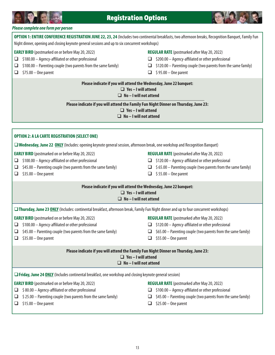



٦

#### *Please complete one form per person*

| OPTION 1: ENTIRE CONFERENCE REGISTRATION JUNE 22, 23, 24 (Includes two continental breakfasts, two afternoon breaks, Recognition Banquet, Family Fun<br>Night dinner, opening and closing keynote general sessions and up to six concurrent workshops) |                                                                                                                                                                                                           |  |  |  |  |
|--------------------------------------------------------------------------------------------------------------------------------------------------------------------------------------------------------------------------------------------------------|-----------------------------------------------------------------------------------------------------------------------------------------------------------------------------------------------------------|--|--|--|--|
| <b>EARLY BIRD</b> (postmarked on or before May 20, 2022)<br>\$180.00 - Agency-affiliated or other professional<br>❏<br>\$100.00 - Parenting couple (two parents from the same family)<br>⊔<br>$$75.00 - One parent$<br>❏                               | <b>REGULAR RATE</b> (postmarked after May 20, 2022)<br>\$200.00 - Agency-affiliated or other professional<br>\$120.00 - Parenting couple (two parents from the same family)<br>$$95.00 - One parent$<br>❏ |  |  |  |  |
| Please indicate if you will attend the Wednesday, June 22 banquet:<br>$\Box$ Yes - I will attend<br>$\Box$ No-I will not attend                                                                                                                        |                                                                                                                                                                                                           |  |  |  |  |
| Please indicate if you will attend the Family Fun Night Dinner on Thursday, June 23:<br>$\Box$ Yes - I will attend<br>$\Box$ No - I will not attend                                                                                                    |                                                                                                                                                                                                           |  |  |  |  |
| <b>OPTION 2: A LA CARTE REGISTRATION (SELECT ONE)</b>                                                                                                                                                                                                  |                                                                                                                                                                                                           |  |  |  |  |
| $\Box$ Wednesday, June 22 ONLY (Includes: opening keynote general session, afternoon break, one workshop and Recognition Banquet)                                                                                                                      |                                                                                                                                                                                                           |  |  |  |  |
| <b>EARLY BIRD</b> (postmarked on or before May 20, 2022)<br>\$100.00 - Agency-affiliated or other professional<br>❏<br>\$45.00 - Parenting couple (two parents from the same family)<br>⊔<br>$$35.00 - One parent$<br>❏                                | <b>REGULAR RATE</b> (postmarked after May 20, 2022)<br>\$120.00 - Agency-affiliated or other professional<br>\$65.00 - Parenting couple (two parents from the same family)<br>$$55.00 - One parent$<br>□  |  |  |  |  |
|                                                                                                                                                                                                                                                        | Please indicate if you will attend the Wednesday, June 22 banquet:<br>$\Box$ Yes - I will attend<br>$\Box$ No-I will not attend                                                                           |  |  |  |  |
| □ Thursday, June 23 ONLY (Includes: continental breakfast, afternoon break, Family Fun Night dinner and up to four concurrent workshops)                                                                                                               |                                                                                                                                                                                                           |  |  |  |  |
| <b>EARLY BIRD</b> (postmarked on or before May 20, 2022)<br>\$100.00 - Agency-affiliated or other professional<br>❏<br>\$45.00 - Parenting couple (two parents from the same family)<br>❏<br>$$35.00 - One parent$<br>⊔                                | <b>REGULAR RATE</b> (postmarked after May 20, 2022)<br>\$120.00 - Agency-affiliated or other professional<br>\$65.00 - Parenting couple (two parents from the same family)<br>$$55.00 - One parent$       |  |  |  |  |
| Please indicate if you will attend the Family Fun Night Dinner on Thursday, June 23:<br>$\Box$ Yes - I will attend<br>$\Box$ No - I will not attend                                                                                                    |                                                                                                                                                                                                           |  |  |  |  |
| □ Friday, June 24 ONLY (Includes continental breakfast, one workshop and closing keynote general session)                                                                                                                                              |                                                                                                                                                                                                           |  |  |  |  |
| <b>EARLY BIRD</b> (postmarked on or before May 20, 2022)<br>\$80.00 - Agency-affiliated or other professional<br>❏<br>\$25.00 - Parenting couple (two parents from the same family)<br>$$15.00 - One parent$<br>❏                                      | <b>REGULAR RATE</b> (postmarked after May 20, 2022)<br>\$100.00 - Agency-affiliated or other professional<br>\$45.00 - Parenting couple (two parents from the same family)<br>$$25.00 - One parent$       |  |  |  |  |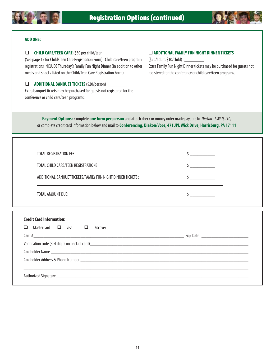



#### **ADD ONS:**

**Q CHILD CARE/TEEN CARE** (\$50 per child/teen) \_

(See page 15 for Child/Teen Care Registration Form). Child care/teen program registrations INCLUDE Thursday's Family Fun Night Dinner (in addition to other meals and snacks listed on the Child/Teen Care Registration Form).

**Q ADDITIONAL BANQUET TICKETS** (\$20/person) Extra banquet tickets may be purchased for guests not registered for the conference or child care/teen programs.

#### **Q ADDITIONAL FAMILY FUN NIGHT DINNER TICKETS**

(\$20/adult; \$10/child) \_\_\_\_\_\_\_\_ Extra Family Fun Night Dinner tickets may be purchased for guests not registered for the conference or child care/teen programs.

**Payment Options:** Complete **one form per person** and attach check or money order made payable to *Diakon - SWAN, LLC,* or complete credit card information below and mail to**Conferencing, Diakon/Voce, 471 JPL Wick Drive, Harrisburg, PA 17111**

| <b>TOTAL REGISTRATION FEE:</b>                               | $\zeta$<br>$\zeta$ |  |
|--------------------------------------------------------------|--------------------|--|
| TOTAL CHILD CARE/TEEN REGISTRATIONS:                         |                    |  |
| ADDITIONAL BANQUET TICKETS/FAMILY FUN NIGHT DINNER TICKETS : |                    |  |
|                                                              |                    |  |
| TOTAL AMOUNT DUE:                                            |                    |  |
| <b>Credit Card Information:</b>                              |                    |  |
| MasterCard □ Visa □ Discover<br>l I                          |                    |  |
|                                                              |                    |  |
|                                                              |                    |  |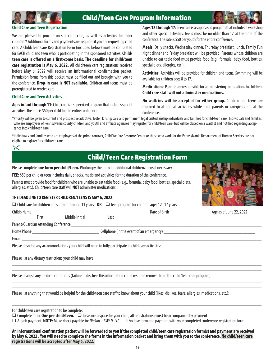

# **Child/Teen Care Program Information**



#### **Child Care and Teen Registration**

We are pleased to provide on-site child care, as well as activities for older children.\* Additional forms and payments are required if you are requesting child care. A Child/Teen Care Registration Form (included below) must be completed for EACH child and teen who is participating in the sponsored activities. **Child/ teen care is offered on a first-come basis. The deadline for child/teen care registration is May 6, 2022.** All child/teen care registrations received before May 6, 2022 will receive an informational confirmation packet. Permission forms from this packet must be filled out and brought with you to the conference. **Drop-in care is NOT available.** Children and teens must be preregistered to receive care.

#### **Child Care and Teen Activities**

**Ages infant through 11:** Child care is a supervised program that includes special activities. The rate is \$50 per child for the entire conference.

**Ages 12 through 17:** Teen care is a supervised program that includes a workshop and other special activities. Teens must be no older than 17 at the time of the conference. The rate is \$50 per youth for the entire conference.

**Meals:** Daily snacks, Wednesday dinner, Thursday breakfast, lunch, Family Fun Night dinner and Friday breakfast will be provided. Parents whose children are unable to eat table food must provide food (e.g., formula, baby food, bottles, special diets, allergies, etc.).

**Activities:** Activities will be provided for children and teens. Swimming will be available for children ages 8 to 17.

**Medications:** Parents are responsible for administering medications to children. **Child care staff will not administer medications.**

**No walk-ins will be accepted for either group.** Children and teens are required to attend all activities while their parents or caregivers are at the conference.

\*Priority will be given to current and prospective adoptive, foster, kinship care and permanent legal custodianship individuals and families for child/teen care. Individuals and families who are employees of Pennsylvania county children and youth and affiliate agencies may register for child/teen care, but will be placed on a waitlist and notified regarding acceptance into child/teen care.

\*Individuals and families who are employees of the prime contract, Child Welfare Resource Center or those who work for the Pennsylvania Department of Human Services are not eligible to register for child/teen care.

# **Child/Teen Care Registration Form**

Please complete **one form per child/teen.** Photocopy the form for additional children/teens if necessary.

 $□$  **Child care for children ages infant through 11 years <b>OR**  $□$  Teen program for children ages 12–17 years

**FEE:** \$50 per child or teen includes daily snacks, meals and activities for the duration of the conference.

Parents must provide food for children who are unable to eat table food (e.g., formula, baby food, bottles, special diets, allergies, etc.). Child/teen care staff will **NOT** administer medications.

### **THE DEADLINE TO REGISTER CHILDREN/TEENS IS MAY 6, 2022.**



| Child's Name                         |       |                                                                                                        | Date of Birth <b>Exercise 2</b> |  | Age as of June 22, 2022 |
|--------------------------------------|-------|--------------------------------------------------------------------------------------------------------|---------------------------------|--|-------------------------|
|                                      | First | Middle Initial                                                                                         | Last                            |  |                         |
| Parent/Guardian Attending Conference |       |                                                                                                        |                                 |  |                         |
|                                      |       |                                                                                                        |                                 |  |                         |
| Email                                |       |                                                                                                        |                                 |  |                         |
|                                      |       | Please describe any accommodations your child will need to fully participate in child care activities: |                                 |  |                         |

\_\_\_\_\_\_\_\_\_\_\_\_\_\_\_\_\_\_\_\_\_\_\_\_\_\_\_\_\_\_\_\_\_\_\_\_\_\_\_\_\_\_\_\_\_\_\_\_\_\_\_\_\_\_\_\_\_\_\_\_\_\_\_\_\_\_\_\_\_\_\_\_\_\_\_\_\_\_\_\_\_\_\_\_\_\_\_\_\_\_\_\_\_\_\_\_\_\_\_\_\_ \_\_\_\_\_\_\_\_\_\_\_\_\_\_\_\_\_\_\_\_\_\_\_\_\_\_\_\_\_\_\_\_\_\_\_\_\_\_\_\_\_\_\_\_\_\_\_\_\_\_\_\_\_\_\_\_\_\_\_\_\_\_\_\_\_\_\_\_\_\_\_\_\_\_\_\_\_\_\_\_\_\_\_\_\_\_\_\_\_\_\_\_\_\_\_\_\_\_\_\_\_

\_\_\_\_\_\_\_\_\_\_\_\_\_\_\_\_\_\_\_\_\_\_\_\_\_\_\_\_\_\_\_\_\_\_\_\_\_\_\_\_\_\_\_\_\_\_\_\_\_\_\_\_\_\_\_\_\_\_\_\_\_\_\_\_\_\_\_\_\_\_\_\_\_\_\_\_\_\_\_\_\_\_\_\_\_\_\_\_\_\_\_\_\_\_\_\_\_\_\_\_\_ \_\_\_\_\_\_\_\_\_\_\_\_\_\_\_\_\_\_\_\_\_\_\_\_\_\_\_\_\_\_\_\_\_\_\_\_\_\_\_\_\_\_\_\_\_\_\_\_\_\_\_\_\_\_\_\_\_\_\_\_\_\_\_\_\_\_\_\_\_\_\_\_\_\_\_\_\_\_\_\_\_\_\_\_\_\_\_\_\_\_\_\_\_\_\_\_\_\_\_\_\_

\_\_\_\_\_\_\_\_\_\_\_\_\_\_\_\_\_\_\_\_\_\_\_\_\_\_\_\_\_\_\_\_\_\_\_\_\_\_\_\_\_\_\_\_\_\_\_\_\_\_\_\_\_\_\_\_\_\_\_\_\_\_\_\_\_\_\_\_\_\_\_\_\_\_\_\_\_\_\_\_\_\_\_\_\_\_\_\_\_\_\_\_\_\_\_\_\_\_\_\_\_

Please list any dietary restrictions your child may have:

Please disclose any medical conditions (failure to disclose this information could result in removal from the child/teen care program):

Please list anything that would be helpful for the child/teen care staff to know about your child (likes, dislikes, fears, allergies, medications, etc.): \_\_\_\_\_\_\_\_\_\_\_\_\_\_\_\_\_\_\_\_\_\_\_\_\_\_\_\_\_\_\_\_\_\_\_\_\_\_\_\_\_\_\_\_\_\_\_\_\_\_\_\_\_\_\_\_\_\_\_\_\_\_\_\_\_\_\_\_\_\_\_\_\_\_\_\_\_\_\_\_\_\_\_\_\_\_\_\_\_\_\_\_\_\_\_\_\_\_\_\_\_

q Attach payment. **NOTE:** Make check payable to: *Diakon – SWAN, LLC*. q Enclose form and payment with your completed conference registration form.

**An informational confirmation packet will be forwarded to you if the completed child/teen care registration form(s) and payment are received by May 6, 2022 . You will need to complete the forms in the information packet and bring them with you to the conference. No child/teen care registrations will be accepted after May 6, 2022.**

For child/teen care registration to be complete:

<sup>□</sup> Complete form. One per child/teen. □ To secure a space for your child, all registrations must be accompanied by payment.